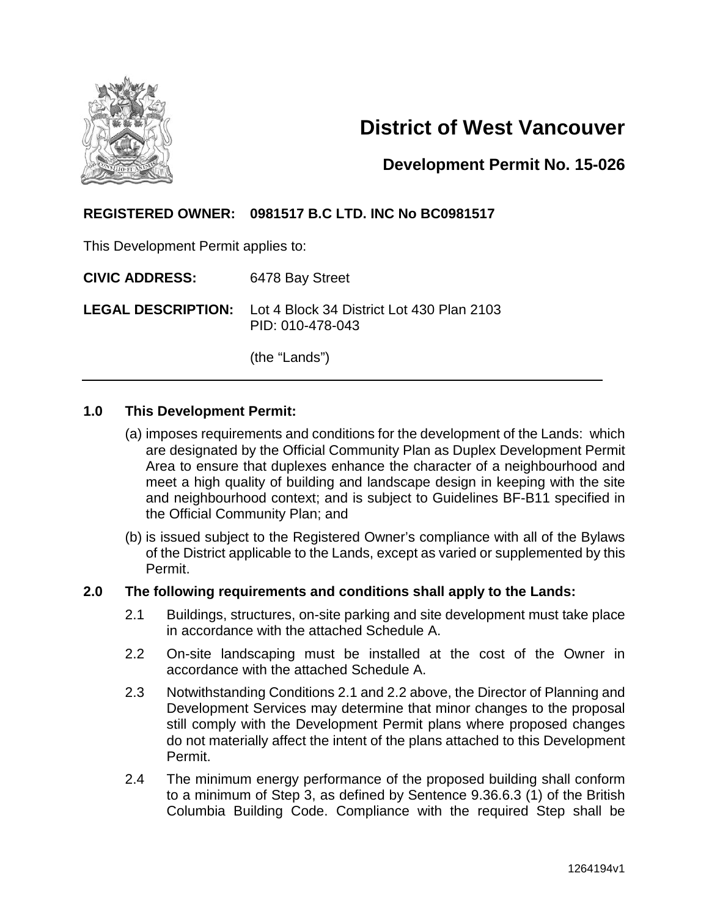

# **District of West Vancouver**

# **Development Permit No. 15-026**

## **REGISTERED OWNER: 0981517 B.C LTD. INC No BC0981517**

This Development Permit applies to:

**CIVIC ADDRESS:** 6478 Bay Street

**LEGAL DESCRIPTION:** Lot 4 Block 34 District Lot 430 Plan 2103 PID: 010-478-043

(the "Lands")

#### **1.0 This Development Permit:**

- (a) imposes requirements and conditions for the development of the Lands: which are designated by the Official Community Plan as Duplex Development Permit Area to ensure that duplexes enhance the character of a neighbourhood and meet a high quality of building and landscape design in keeping with the site and neighbourhood context; and is subject to Guidelines BF-B11 specified in the Official Community Plan; and
- (b) is issued subject to the Registered Owner's compliance with all of the Bylaws of the District applicable to the Lands, except as varied or supplemented by this Permit.

#### **2.0 The following requirements and conditions shall apply to the Lands:**

- 2.1 Buildings, structures, on-site parking and site development must take place in accordance with the attached Schedule A.
- 2.2 On-site landscaping must be installed at the cost of the Owner in accordance with the attached Schedule A.
- 2.3 Notwithstanding Conditions 2.1 and 2.2 above, the Director of Planning and Development Services may determine that minor changes to the proposal still comply with the Development Permit plans where proposed changes do not materially affect the intent of the plans attached to this Development Permit.
- 2.4 The minimum energy performance of the proposed building shall conform to a minimum of Step 3, as defined by Sentence 9.36.6.3 (1) of the British Columbia Building Code. Compliance with the required Step shall be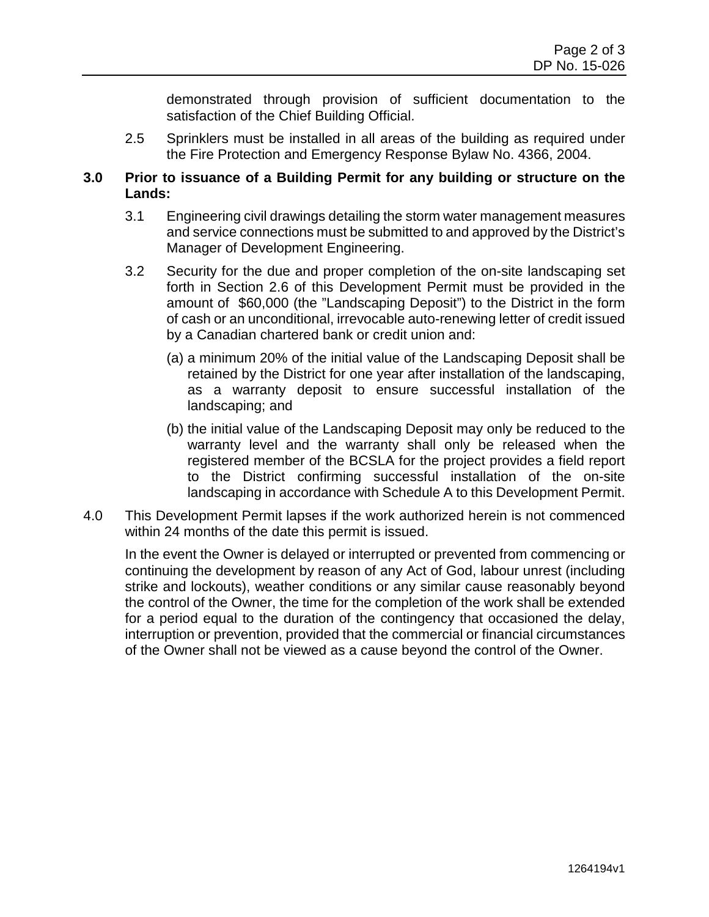demonstrated through provision of sufficient documentation to the satisfaction of the Chief Building Official.

2.5 Sprinklers must be installed in all areas of the building as required under the Fire Protection and Emergency Response Bylaw No. 4366, 2004.

#### **3.0 Prior to issuance of a Building Permit for any building or structure on the Lands:**

- 3.1 Engineering civil drawings detailing the storm water management measures and service connections must be submitted to and approved by the District's Manager of Development Engineering.
- 3.2 Security for the due and proper completion of the on-site landscaping set forth in Section 2.6 of this Development Permit must be provided in the amount of \$60,000 (the "Landscaping Deposit") to the District in the form of cash or an unconditional, irrevocable auto-renewing letter of credit issued by a Canadian chartered bank or credit union and:
	- (a) a minimum 20% of the initial value of the Landscaping Deposit shall be retained by the District for one year after installation of the landscaping, as a warranty deposit to ensure successful installation of the landscaping; and
	- (b) the initial value of the Landscaping Deposit may only be reduced to the warranty level and the warranty shall only be released when the registered member of the BCSLA for the project provides a field report to the District confirming successful installation of the on-site landscaping in accordance with Schedule A to this Development Permit.
- 4.0 This Development Permit lapses if the work authorized herein is not commenced within 24 months of the date this permit is issued.

In the event the Owner is delayed or interrupted or prevented from commencing or continuing the development by reason of any Act of God, labour unrest (including strike and lockouts), weather conditions or any similar cause reasonably beyond the control of the Owner, the time for the completion of the work shall be extended for a period equal to the duration of the contingency that occasioned the delay, interruption or prevention, provided that the commercial or financial circumstances of the Owner shall not be viewed as a cause beyond the control of the Owner.